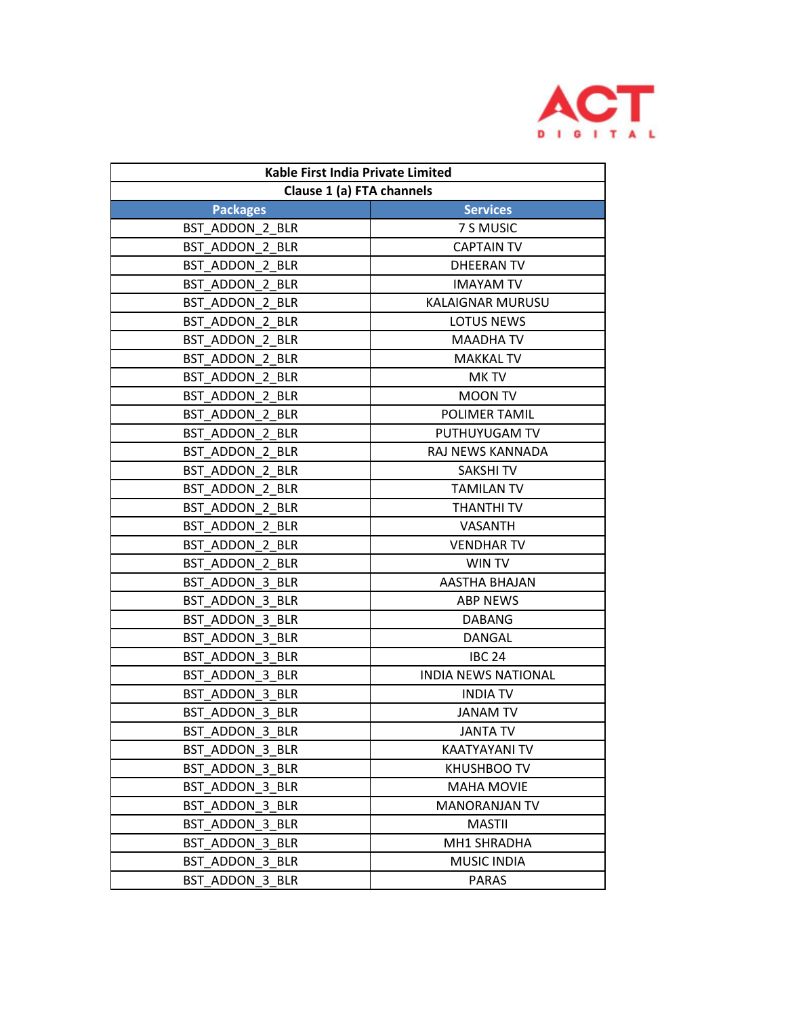

| Kable First India Private Limited |                            |  |
|-----------------------------------|----------------------------|--|
| Clause 1 (a) FTA channels         |                            |  |
| <b>Packages</b>                   | <b>Services</b>            |  |
| BST ADDON 2 BLR                   | 7 S MUSIC                  |  |
| BST ADDON 2 BLR                   | <b>CAPTAIN TV</b>          |  |
| BST ADDON 2 BLR                   | <b>DHEERAN TV</b>          |  |
| BST ADDON 2 BLR                   | <b>IMAYAM TV</b>           |  |
| BST ADDON 2 BLR                   | KALAIGNAR MURUSU           |  |
| BST ADDON 2 BLR                   | <b>LOTUS NEWS</b>          |  |
| BST ADDON 2 BLR                   | <b>MAADHATV</b>            |  |
| BST_ADDON 2 BLR                   | <b>MAKKAL TV</b>           |  |
| BST ADDON 2 BLR                   | MK TV                      |  |
| BST ADDON 2 BLR                   | <b>MOON TV</b>             |  |
| BST ADDON 2 BLR                   | <b>POLIMER TAMIL</b>       |  |
| BST ADDON 2 BLR                   | PUTHUYUGAM TV              |  |
| BST ADDON 2 BLR                   | RAJ NEWS KANNADA           |  |
| BST ADDON 2 BLR                   | SAKSHI TV                  |  |
| BST ADDON 2 BLR                   | <b>TAMILAN TV</b>          |  |
| BST ADDON 2 BLR                   | THANTHI TV                 |  |
| BST ADDON 2 BLR                   | <b>VASANTH</b>             |  |
| BST ADDON 2 BLR                   | <b>VENDHAR TV</b>          |  |
| BST ADDON 2 BLR                   | WIN TV                     |  |
| BST_ADDON 3 BLR                   | AASTHA BHAJAN              |  |
| BST ADDON 3 BLR                   | <b>ABP NEWS</b>            |  |
| BST ADDON 3 BLR                   | <b>DABANG</b>              |  |
| BST ADDON 3 BLR                   | DANGAL                     |  |
| BST ADDON 3 BLR                   | <b>IBC 24</b>              |  |
| BST ADDON 3 BLR                   | <b>INDIA NEWS NATIONAL</b> |  |
| BST ADDON 3 BLR                   | <b>INDIA TV</b>            |  |
| BST ADDON 3 BLR                   | <b>JANAM TV</b>            |  |
| BST_ADDON_3_BLR                   | <b>JANTA TV</b>            |  |
| BST ADDON 3 BLR                   | KAATYAYANI TV              |  |
| BST ADDON 3 BLR                   | KHUSHBOO TV                |  |
| BST ADDON 3 BLR                   | <b>MAHA MOVIE</b>          |  |
| BST ADDON 3 BLR                   | <b>MANORANJAN TV</b>       |  |
| BST ADDON 3 BLR                   | <b>MASTII</b>              |  |
| BST ADDON 3 BLR                   | MH1 SHRADHA                |  |
| BST ADDON 3 BLR                   | <b>MUSIC INDIA</b>         |  |
| BST ADDON 3 BLR                   | <b>PARAS</b>               |  |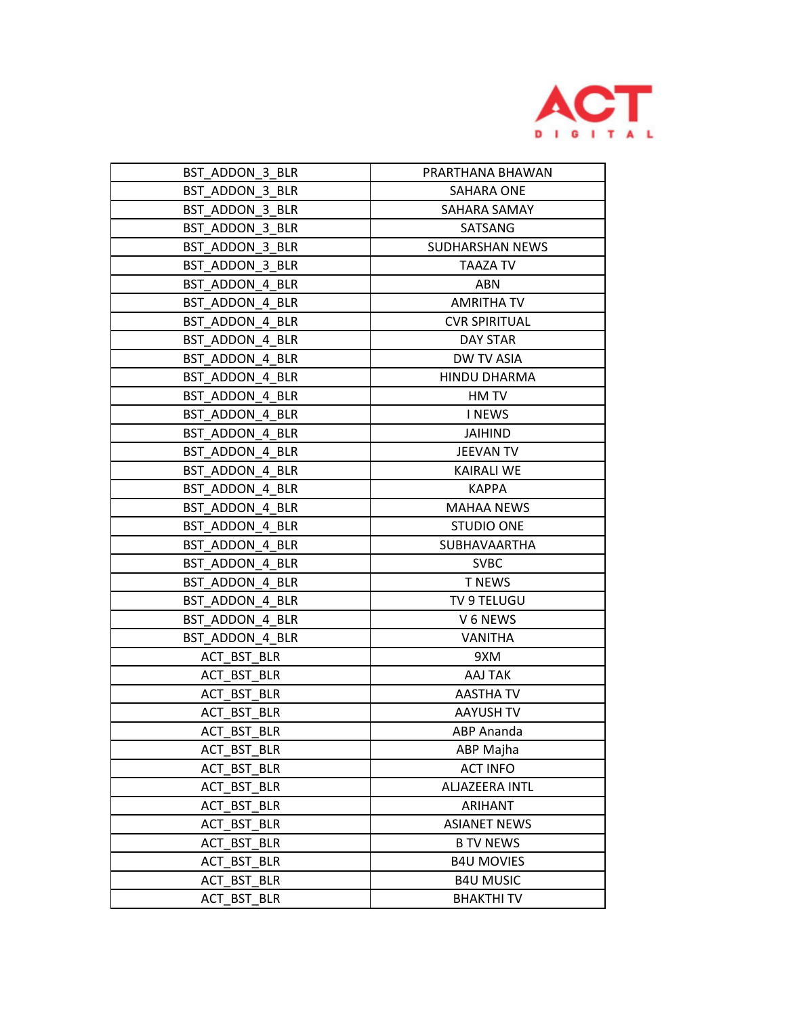

| BST ADDON 3 BLR | PRARTHANA BHAWAN     |
|-----------------|----------------------|
| BST ADDON 3 BLR | SAHARA ONE           |
| BST ADDON 3 BLR | SAHARA SAMAY         |
| BST ADDON 3 BLR | SATSANG              |
| BST ADDON 3 BLR | SUDHARSHAN NEWS      |
| BST_ADDON_3_BLR | TAAZA TV             |
| BST ADDON 4 BLR | ABN                  |
| BST ADDON 4 BLR | AMRITHA TV           |
| BST ADDON 4 BLR | <b>CVR SPIRITUAL</b> |
| BST ADDON 4 BLR | DAY STAR             |
| BST ADDON 4 BLR | DW TV ASIA           |
| BST ADDON 4 BLR | <b>HINDU DHARMA</b>  |
| BST ADDON 4 BLR | HM TV                |
| BST ADDON 4 BLR | <b>INEWS</b>         |
| BST ADDON 4 BLR | JAIHIND              |
| BST ADDON 4 BLR | JEEVAN TV            |
| BST ADDON 4 BLR | <b>KAIRALI WE</b>    |
| BST ADDON 4 BLR | <b>KAPPA</b>         |
| BST ADDON 4 BLR | <b>MAHAA NEWS</b>    |
| BST ADDON 4 BLR | <b>STUDIO ONE</b>    |
| BST ADDON 4 BLR | SUBHAVAARTHA         |
| BST ADDON 4 BLR | <b>SVBC</b>          |
| BST ADDON 4 BLR | <b>T NEWS</b>        |
| BST ADDON 4 BLR | TV 9 TELUGU          |
| BST ADDON 4 BLR | V 6 NEWS             |
| BST_ADDON_4_BLR | <b>VANITHA</b>       |
| ACT BST BLR     | 9XM                  |
| ACT BST BLR     | AAJ TAK              |
| ACT BST BLR     | AASTHA TV            |
| ACT BST BLR     | <b>AAYUSH TV</b>     |
| ACT_BST_BLR     | ABP Ananda           |
| ACT BST BLR     | ABP Majha            |
| ACT BST BLR     | <b>ACT INFO</b>      |
| ACT_BST_BLR     | ALJAZEERA INTL       |
| ACT BST BLR     | <b>ARIHANT</b>       |
| ACT BST BLR     | <b>ASIANET NEWS</b>  |
| ACT BST BLR     | <b>B TV NEWS</b>     |
| ACT BST BLR     | <b>B4U MOVIES</b>    |
| ACT BST BLR     | <b>B4U MUSIC</b>     |
| ACT_BST_BLR     | <b>BHAKTHI TV</b>    |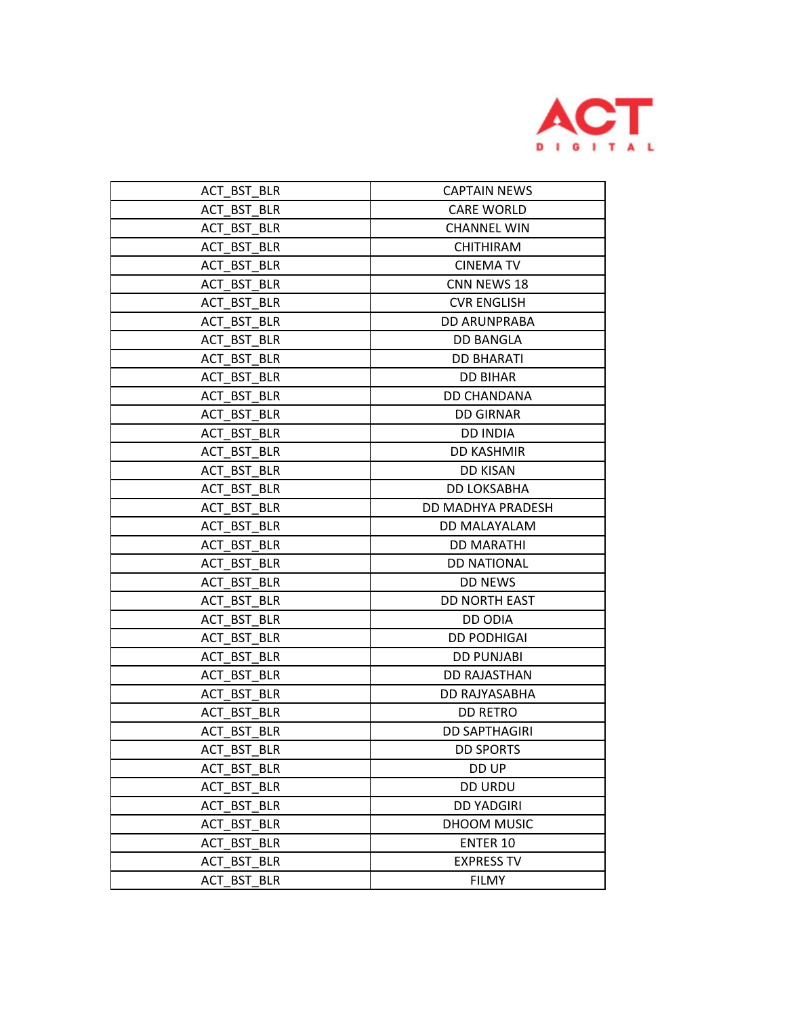

| ACT BST BLR | <b>CAPTAIN NEWS</b>  |
|-------------|----------------------|
| ACT BST BLR | <b>CARE WORLD</b>    |
| ACT BST BLR | <b>CHANNEL WIN</b>   |
| ACT BST BLR | <b>CHITHIRAM</b>     |
| ACT BST BLR | <b>CINEMA TV</b>     |
| ACT BST BLR | CNN NEWS 18          |
| ACT BST BLR | <b>CVR ENGLISH</b>   |
| ACT BST BLR | <b>DD ARUNPRABA</b>  |
| ACT BST BLR | <b>DD BANGLA</b>     |
| ACT BST BLR | <b>DD BHARATI</b>    |
| ACT BST BLR | <b>DD BIHAR</b>      |
| ACT BST BLR | <b>DD CHANDANA</b>   |
| ACT BST BLR | <b>DD GIRNAR</b>     |
| ACT BST BLR | <b>DD INDIA</b>      |
| ACT BST BLR | <b>DD KASHMIR</b>    |
| ACT BST BLR | <b>DD KISAN</b>      |
| ACT BST BLR | DD LOKSABHA          |
| ACT BST BLR | DD MADHYA PRADESH    |
| ACT BST BLR | DD MALAYALAM         |
| ACT BST BLR | <b>DD MARATHI</b>    |
| ACT BST BLR | <b>DD NATIONAL</b>   |
| ACT BST BLR | <b>DD NEWS</b>       |
| ACT BST BLR | <b>DD NORTH EAST</b> |
| ACT BST BLR | DD ODIA              |
| ACT BST BLR | <b>DD PODHIGAI</b>   |
| ACT BST BLR | <b>DD PUNJABI</b>    |
| ACT BST BLR | <b>DD RAJASTHAN</b>  |
| ACT BST BLR | DD RAJYASABHA        |
| ACT BST BLR | <b>DD RETRO</b>      |
| ACT BST BLR | <b>DD SAPTHAGIRI</b> |
| ACT_BST_BLR | <b>DD SPORTS</b>     |
| ACT_BST_BLR | DD UP                |
| ACT BST BLR | <b>DD URDU</b>       |
| ACT BST BLR | <b>DD YADGIRI</b>    |
| ACT BST BLR | DHOOM MUSIC          |
| ACT BST BLR | <b>ENTER 10</b>      |
| ACT BST BLR | <b>EXPRESS TV</b>    |
| ACT BST BLR | <b>FILMY</b>         |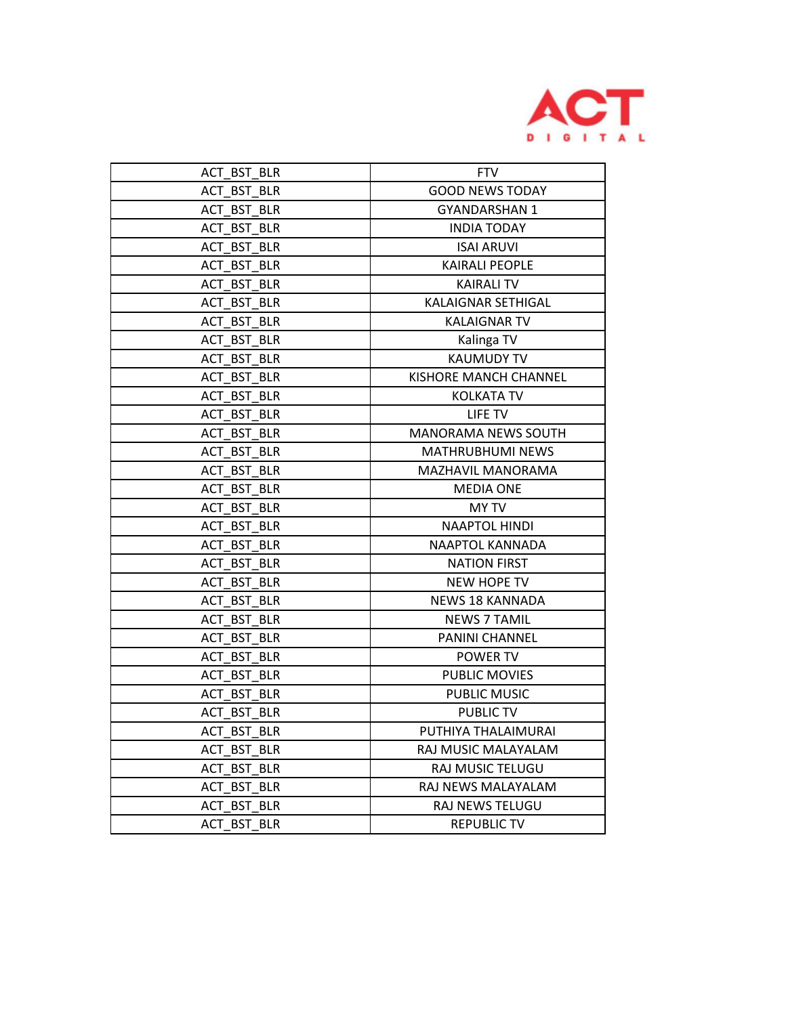

| ACT BST BLR | <b>FTV</b>                   |
|-------------|------------------------------|
| ACT BST BLR | <b>GOOD NEWS TODAY</b>       |
| ACT BST BLR | <b>GYANDARSHAN 1</b>         |
| ACT BST BLR | <b>INDIA TODAY</b>           |
| ACT BST BLR | <b>ISAI ARUVI</b>            |
| ACT BST BLR | <b>KAIRALI PEOPLE</b>        |
| ACT BST BLR | <b>KAIRALI TV</b>            |
| ACT BST BLR | <b>KALAIGNAR SETHIGAL</b>    |
| ACT BST BLR | <b>KALAIGNAR TV</b>          |
| ACT BST BLR | Kalinga TV                   |
| ACT BST BLR | <b>KAUMUDY TV</b>            |
| ACT BST BLR | <b>KISHORE MANCH CHANNEL</b> |
| ACT BST BLR | <b>KOLKATA TV</b>            |
| ACT BST BLR | LIFE TV                      |
| ACT BST BLR | <b>MANORAMA NEWS SOUTH</b>   |
| ACT BST BLR | <b>MATHRUBHUMI NEWS</b>      |
| ACT BST BLR | MAZHAVIL MANORAMA            |
| ACT BST BLR | <b>MEDIA ONE</b>             |
| ACT BST BLR | <b>MY TV</b>                 |
| ACT BST BLR | <b>NAAPTOL HINDI</b>         |
| ACT BST BLR | NAAPTOL KANNADA              |
| ACT BST BLR | <b>NATION FIRST</b>          |
| ACT BST BLR | <b>NEW HOPE TV</b>           |
| ACT BST BLR | NEWS 18 KANNADA              |
| ACT BST BLR | <b>NEWS 7 TAMIL</b>          |
| ACT BST BLR | PANINI CHANNEL               |
| ACT BST BLR | POWER TV                     |
| ACT_BST_BLR | PUBLIC MOVIES                |
| ACT BST BLR | PUBLIC MUSIC                 |
| ACT BST BLR | <b>PUBLIC TV</b>             |
| ACT BST BLR | PUTHIYA THALAIMURAI          |
| ACT BST BLR | RAJ MUSIC MALAYALAM          |
| ACT BST BLR | RAJ MUSIC TELUGU             |
| ACT BST BLR | RAJ NEWS MALAYALAM           |
| ACT BST BLR | RAJ NEWS TELUGU              |
| ACT BST BLR | <b>REPUBLIC TV</b>           |